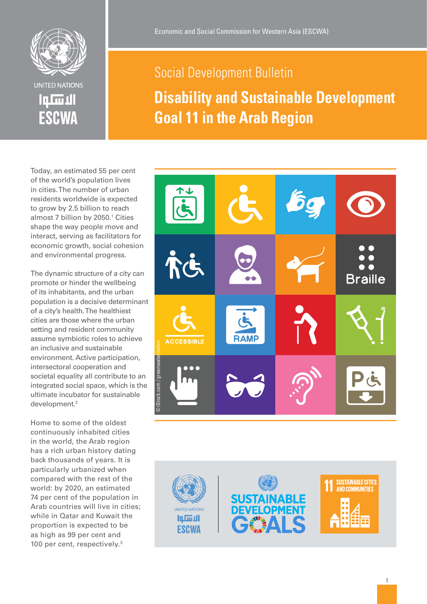

الأهلت

**ESCWA** 

# Social Development Bulletin **Disability and Sustainable Development Goal 11 in the Arab Region**

Today, an estimated 55 per cent of the world's population lives in cities. The number of urban residents worldwide is expected to grow by 2.5 billion to reach almost 7 billion by 2050. 1 Cities shape the way people move and interact, serving as facilitators for economic growth, social cohesion and environmental progress.

The dynamic structure of a city can promote or hinder the wellbeing of its inhabitants, and the urban population is a decisive determinant of a city's health. The healthiest cities are those where the urban setting and resident community assume symbiotic roles to achieve an inclusive and sustainable environment. Active participation, intersectoral cooperation and societal equality all contribute to an integrated social space, which is the ultimate incubator for sustainable development. 2

Home to some of the oldest continuously inhabited cities in the world, the Arab region has a rich urban history dating back thousands of years. It is particularly urbanized when compared with the rest of the world: by 2020, an estimated 74 per cent of the population in Arab countries will live in cities; while in Qatar and Kuwait the proportion is expected to be as high as 99 per cent and 100 per cent, respectively. 3



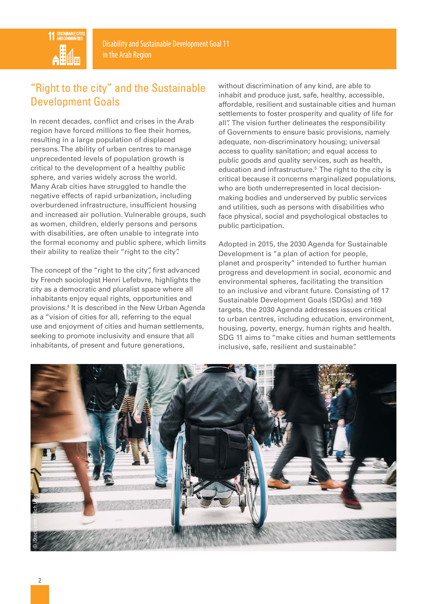

# "Right to the city" and the Sustainable Development Goals

In recent decades, conflict and crises in the Arab region have forced millions to flee their homes, resulting in a large population of displaced persons. The ability of urban centres to manage unprecedented levels of population growth is critical to the development of a healthy public sphere, and varies widely across the world. Many Arab cities have struggled to handle the negative effects of rapid urbanization, including overburdened infrastructure, insufficient housing and increased air pollution. Vulnerable groups, such as women, children, elderly persons and persons with disabilities, are often unable to integrate into the formal economy and public sphere, which limits their ability to realize their "right to the city".

The concept of the "right to the city", first advanced by French sociologist Henri Lefebvre, highlights the city as a democratic and pluralist space where all inhabitants enjoy equal rights, opportunities and provisions.4 It is described in the New Urban Agenda as a "vision of cities for all, referring to the equal use and enjoyment of cities and human settlements, seeking to promote inclusivity and ensure that all inhabitants, of present and future generations,

without discrimination of any kind, are able to inhabit and produce just, safe, healthy, accessible, affordable, resilient and sustainable cities and human settlements to foster prosperity and quality of life for all". The vision further delineates the responsibility of Governments to ensure basic provisions, namely adequate, non-discriminatory housing; universal access to quality sanitation; and equal access to public goods and quality services, such as health, education and infrastructure.<sup>5</sup> The right to the city is critical because it concerns marginalized populations, who are both underrepresented in local decisionmaking bodies and underserved by public services and utilities, such as persons with disabilities who face physical, social and psychological obstacles to public participation.

Adopted in 2015, the 2030 Agenda for Sustainable Development is "a plan of action for people, planet and prosperity" intended to further human progress and development in social, economic and environmental spheres, facilitating the transition to an inclusive and vibrant future. Consisting of 17 Sustainable Development Goals (SDGs) and 169 targets, the 2030 Agenda addresses issues critical to urban centres, including education, environment, housing, poverty, energy, human rights and health. SDG 11 aims to "make cities and human settlements inclusive, safe, resilient and sustainable".

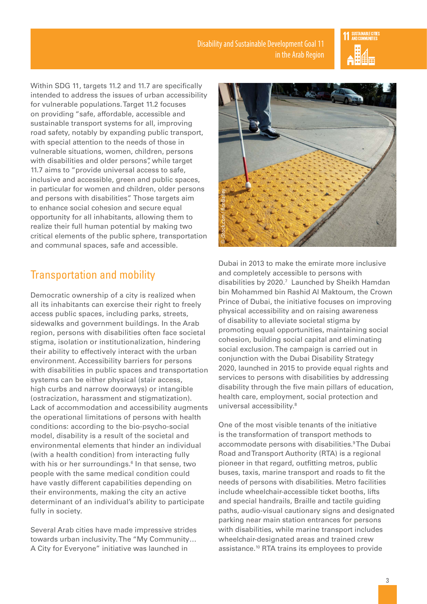

Within SDG 11, targets 11.2 and 11.7 are specifically intended to address the issues of urban accessibility for vulnerable populations. Target 11.2 focuses on providing "safe, affordable, accessible and sustainable transport systems for all, improving road safety, notably by expanding public transport, with special attention to the needs of those in vulnerable situations, women, children, persons with disabilities and older persons", while target 11.7 aims to "provide universal access to safe, inclusive and accessible, green and public spaces, in particular for women and children, older persons and persons with disabilities". Those targets aim to enhance social cohesion and secure equal opportunity for all inhabitants, allowing them to realize their full human potential by making two critical elements of the public sphere, transportation and communal spaces, safe and accessible.

## Transportation and mobility

Democratic ownership of a city is realized when all its inhabitants can exercise their right to freely access public spaces, including parks, streets, sidewalks and government buildings. In the Arab region, persons with disabilities often face societal stigma, isolation or institutionalization, hindering their ability to effectively interact with the urban environment. Accessibility barriers for persons with disabilities in public spaces and transportation systems can be either physical (stair access, high curbs and narrow doorways) or intangible (ostracization, harassment and stigmatization). Lack of accommodation and accessibility augments the operational limitations of persons with health conditions: according to the bio-psycho-social model, disability is a result of the societal and environmental elements that hinder an individual (with a health condition) from interacting fully with his or her surroundings.6 In that sense, two people with the same medical condition could have vastly different capabilities depending on their environments, making the city an active determinant of an individual's ability to participate fully in society.

Several Arab cities have made impressive strides towards urban inclusivity. The "My Community… A City for Everyone" initiative was launched in



Dubai in 2013 to make the emirate more inclusive and completely accessible to persons with disabilities by 2020.7 Launched by Sheikh Hamdan bin Mohammed bin Rashid Al Maktoum, the Crown Prince of Dubai, the initiative focuses on improving physical accessibility and on raising awareness of disability to alleviate societal stigma by promoting equal opportunities, maintaining social cohesion, building social capital and eliminating social exclusion. The campaign is carried out in conjunction with the Dubai Disability Strategy 2020, launched in 2015 to provide equal rights and services to persons with disabilities by addressing disability through the five main pillars of education, health care, employment, social protection and universal accessibility.8 **Dubai in 2013 to make the emirate more inclusive and completely accessible to persons with disabilities by 2020.<sup>7</sup> Launched by Sheikh Hamda bin Mohammad bin Rashid Al Maktoum, the Croussele of Othai, the initiative focus** 

One of the most visible tenants of the initiative is the transformation of transport methods to accommodate persons with disabilities.<sup>9</sup>The Dubai Road and Transport Authority (RTA) is a regional pioneer in that regard, outfitting metros, public buses, taxis, marine transport and roads to fit the needs of persons with disabilities. Metro facilities include wheelchair-accessible ticket booths, lifts and special handrails, Braille and tactile guiding paths, audio-visual cautionary signs and designated parking near main station entrances for persons with disabilities, while marine transport includes wheelchair-designated areas and trained crew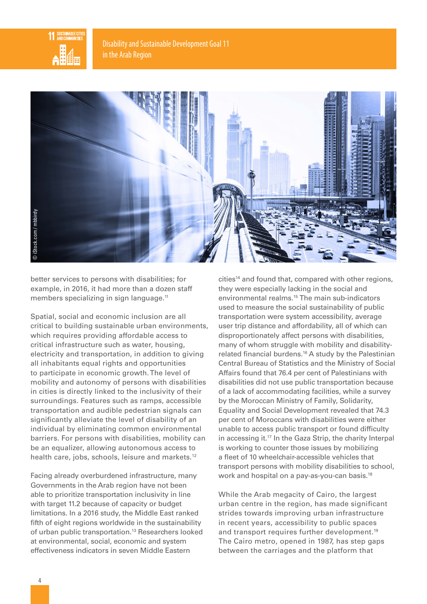



better services to persons with disabilities; for example, in 2016, it had more than a dozen staff members specializing in sign language.<sup>11</sup>

Spatial, social and economic inclusion are all critical to building sustainable urban environments, which requires providing affordable access to critical infrastructure such as water, housing, electricity and transportation, in addition to giving all inhabitants equal rights and opportunities to participate in economic growth. The level of mobility and autonomy of persons with disabilities in cities is directly linked to the inclusivity of their surroundings. Features such as ramps, accessible transportation and audible pedestrian signals can significantly alleviate the level of disability of an individual by eliminating common environmental barriers. For persons with disabilities, mobility can be an equalizer, allowing autonomous access to health care, jobs, schools, leisure and markets.<sup>12</sup>

Facing already overburdened infrastructure, many Governments in the Arab region have not been able to prioritize transportation inclusivity in line with target 11.2 because of capacity or budget limitations. In a 2016 study, the Middle East ranked fifth of eight regions worldwide in the sustainability of urban public transportation.13 Researchers looked at environmental, social, economic and system effectiveness indicators in seven Middle Eastern

cities<sup>14</sup> and found that, compared with other regions, they were especially lacking in the social and environmental realms.15 The main sub-indicators used to measure the social sustainability of public transportation were system accessibility, average user trip distance and affordability, all of which can disproportionately affect persons with disabilities, many of whom struggle with mobility and disabilityrelated financial burdens.16 A study by the Palestinian Central Bureau of Statistics and the Ministry of Social Affairs found that 76.4 per cent of Palestinians with disabilities did not use public transportation because of a lack of accommodating facilities, while a survey by the Moroccan Ministry of Family, Solidarity, Equality and Social Development revealed that 74.3 per cent of Moroccans with disabilities were either unable to access public transport or found difficulty in accessing it.17 In the Gaza Strip, the charity Interpal is working to counter those issues by mobilizing a fleet of 10 wheelchair-accessible vehicles that transport persons with mobility disabilities to school, work and hospital on a pay-as-you-can basis.18

While the Arab megacity of Cairo, the largest urban centre in the region, has made significant strides towards improving urban infrastructure in recent years, accessibility to public spaces and transport requires further development.<sup>19</sup> The Cairo metro, opened in 1987, has step gaps between the carriages and the platform that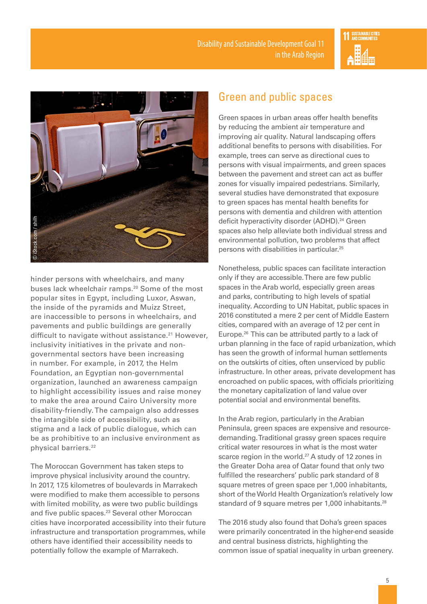



hinder persons with wheelchairs, and many buses lack wheelchair ramps.20 Some of the most popular sites in Egypt, including Luxor, Aswan, the inside of the pyramids and Muizz Street, are inaccessible to persons in wheelchairs, and pavements and public buildings are generally difficult to navigate without assistance.<sup>21</sup> However, inclusivity initiatives in the private and nongovernmental sectors have been increasing in number. For example, in 2017, the Helm Foundation, an Egyptian non-governmental organization, launched an awareness campaign to highlight accessibility issues and raise money to make the area around Cairo University more disability-friendly. The campaign also addresses the intangible side of accessibility, such as stigma and a lack of public dialogue, which can be as prohibitive to an inclusive environment as physical barriers.<sup>22</sup>

The Moroccan Government has taken steps to improve physical inclusivity around the country. In 2017, 17.5 kilometres of boulevards in Marrakech were modified to make them accessible to persons with limited mobility, as were two public buildings and five public spaces.<sup>23</sup> Several other Moroccan cities have incorporated accessibility into their future infrastructure and transportation programmes, while others have identified their accessibility needs to potentially follow the example of Marrakech.

### Green and public spaces

Green spaces in urban areas offer health benefits by reducing the ambient air temperature and improving air quality. Natural landscaping offers additional benefits to persons with disabilities. For example, trees can serve as directional cues to persons with visual impairments, and green spaces between the pavement and street can act as buffer zones for visually impaired pedestrians. Similarly, several studies have demonstrated that exposure to green spaces has mental health benefits for persons with dementia and children with attention deficit hyperactivity disorder (ADHD).<sup>24</sup> Green spaces also help alleviate both individual stress and environmental pollution, two problems that affect persons with disabilities in particular.25

Nonetheless, public spaces can facilitate interaction only if they are accessible. There are few public spaces in the Arab world, especially green areas and parks, contributing to high levels of spatial inequality. According to UN Habitat, public spaces in 2016 constituted a mere 2 per cent of Middle Eastern cities, compared with an average of 12 per cent in Europe.26 This can be attributed partly to a lack of urban planning in the face of rapid urbanization, which has seen the growth of informal human settlements on the outskirts of cities, often unserviced by public infrastructure. In other areas, private development has encroached on public spaces, with officials prioritizing the monetary capitalization of land value over potential social and environmental benefits.

In the Arab region, particularly in the Arabian Peninsula, green spaces are expensive and resourcedemanding. Traditional grassy green spaces require critical water resources in what is the most water scarce region in the world.<sup>27</sup> A study of 12 zones in the Greater Doha area of Qatar found that only two fulfilled the researchers' public park standard of 8 square metres of green space per 1,000 inhabitants, short of the World Health Organization's relatively low standard of 9 square metres per 1,000 inhabitants.<sup>28</sup>

The 2016 study also found that Doha's green spaces were primarily concentrated in the higher-end seaside and central business districts, highlighting the common issue of spatial inequality in urban greenery.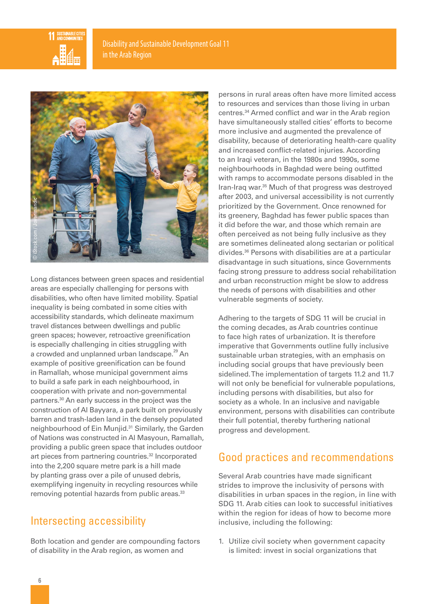



Long distances between green spaces and residential areas are especially challenging for persons with disabilities, who often have limited mobility. Spatial inequality is being combated in some cities with accessibility standards, which delineate maximum travel distances between dwellings and public green spaces; however, retroactive greenification is especially challenging in cities struggling with a crowded and unplanned urban landscape.<sup>29</sup> An example of positive greenification can be found in Ramallah, whose municipal government aims to build a safe park in each neighbourhood, in cooperation with private and non-governmental partners.30 An early success in the project was the construction of Al Bayyara, a park built on previously barren and trash-laden land in the densely populated neighbourhood of Ein Munjid.31 Similarly, the Garden of Nations was constructed in Al Masyoun, Ramallah, providing a public green space that includes outdoor art pieces from partnering countries.<sup>32</sup> Incorporated into the 2,200 square metre park is a hill made by planting grass over a pile of unused debris, exemplifying ingenuity in recycling resources while removing potential hazards from public areas.<sup>33</sup>

### Intersecting accessibility

Both location and gender are compounding factors of disability in the Arab region, as women and

persons in rural areas often have more limited access to resources and services than those living in urban centres.34 Armed conflict and war in the Arab region have simultaneously stalled cities' efforts to become more inclusive and augmented the prevalence of disability, because of deteriorating health-care quality and increased conflict-related injuries. According to an Iraqi veteran, in the 1980s and 1990s, some neighbourhoods in Baghdad were being outfitted with ramps to accommodate persons disabled in the Iran-Iraq war.35 Much of that progress was destroyed after 2003, and universal accessibility is not currently prioritized by the Government. Once renowned for its greenery, Baghdad has fewer public spaces than it did before the war, and those which remain are often perceived as not being fully inclusive as they are sometimes delineated along sectarian or political divides.36 Persons with disabilities are at a particular disadvantage in such situations, since Governments facing strong pressure to address social rehabilitation and urban reconstruction might be slow to address the needs of persons with disabilities and other vulnerable segments of society.

Adhering to the targets of SDG 11 will be crucial in the coming decades, as Arab countries continue to face high rates of urbanization. It is therefore imperative that Governments outline fully inclusive sustainable urban strategies, with an emphasis on including social groups that have previously been sidelined. The implementation of targets 11.2 and 11.7 will not only be beneficial for vulnerable populations, including persons with disabilities, but also for society as a whole. In an inclusive and navigable environment, persons with disabilities can contribute their full potential, thereby furthering national progress and development.

# Good practices and recommendations

Several Arab countries have made significant strides to improve the inclusivity of persons with disabilities in urban spaces in the region, in line with SDG 11. Arab cities can look to successful initiatives within the region for ideas of how to become more inclusive, including the following:

1. Utilize civil society when government capacity is limited: invest in social organizations that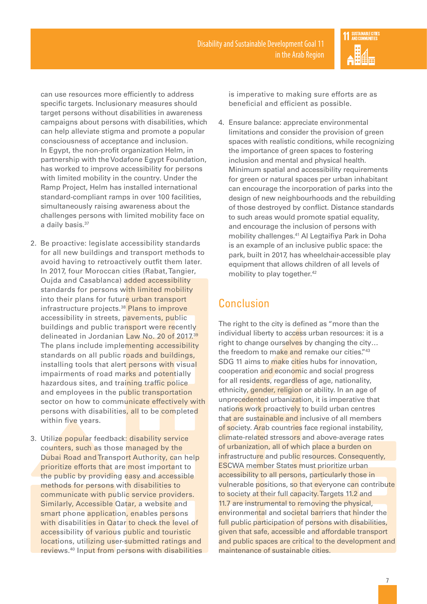

can use resources more efficiently to address specific targets. Inclusionary measures should target persons without disabilities in awareness campaigns about persons with disabilities, which can help alleviate stigma and promote a popular consciousness of acceptance and inclusion. In Egypt, the non-profit organization Helm, in partnership with the Vodafone Egypt Foundation, has worked to improve accessibility for persons with limited mobility in the country. Under the Ramp Project, Helm has installed international standard-compliant ramps in over 100 facilities, simultaneously raising awareness about the challenges persons with limited mobility face on a daily basis.<sup>37</sup>

- 2. Be proactive: legislate accessibility standards for all new buildings and transport methods to avoid having to retroactively outfit them later. In 2017, four Moroccan cities (Rabat, Tangier, Oujda and Casablanca) added accessibility standards for persons with limited mobility into their plans for future urban transport infrastructure projects.<sup>38</sup> Plans to improve accessibility in streets, pavements, public buildings and public transport were recently delineated in Jordanian Law No. 20 of 2017.<sup>39</sup> The plans include implementing accessibility standards on all public roads and buildings, installing tools that alert persons with visual impairments of road marks and potentially hazardous sites, and training traffic police and employees in the public transportation sector on how to communicate effectively with persons with disabilities, all to be completed within five years.
- 3. Utilize popular feedback: disability service counters, such as those managed by the Dubai Road and Transport Authority, can help prioritize efforts that are most important to the public by providing easy and accessible methods for persons with disabilities to communicate with public service providers. Similarly, Accessible Qatar, a website and smart phone application, enables persons with disabilities in Qatar to check the level of accessibility of various public and touristic locations, utilizing user-submitted ratings and reviews.40 Input from persons with disabilities

is imperative to making sure efforts are as beneficial and efficient as possible.

4. Ensure balance: appreciate environmental limitations and consider the provision of green spaces with realistic conditions, while recognizing the importance of green spaces to fostering inclusion and mental and physical health. Minimum spatial and accessibility requirements for green or natural spaces per urban inhabitant can encourage the incorporation of parks into the design of new neighbourhoods and the rebuilding of those destroyed by conflict. Distance standards to such areas would promote spatial equality, and encourage the inclusion of persons with mobility challenges.41 Al Legtaifiya Park in Doha is an example of an inclusive public space: the park, built in 2017, has wheelchair-accessible play equipment that allows children of all levels of mobility to play together.<sup>42</sup>

### Conclusion

The right to the city is defined as "more than the individual liberty to access urban resources: it is a right to change ourselves by changing the city… the freedom to make and remake our cities."43 SDG 11 aims to make cities hubs for innovation, cooperation and economic and social progress for all residents, regardless of age, nationality, ethnicity, gender, religion or ability. In an age of unprecedented urbanization, it is imperative that nations work proactively to build urban centres that are sustainable and inclusive of all members of society. Arab countries face regional instability, climate-related stressors and above-average rates of urbanization, all of which place a burden on infrastructure and public resources. Consequently, ESCWA member States must prioritize urban accessibility to all persons, particularly those in vulnerable positions, so that everyone can contribute to society at their full capacity. Targets 11.2 and 11.7 are instrumental to removing the physical, environmental and societal barriers that hinder the full public participation of persons with disabilities, given that safe, accessible and affordable transport and public spaces are critical to the development and maintenance of sustainable cities.